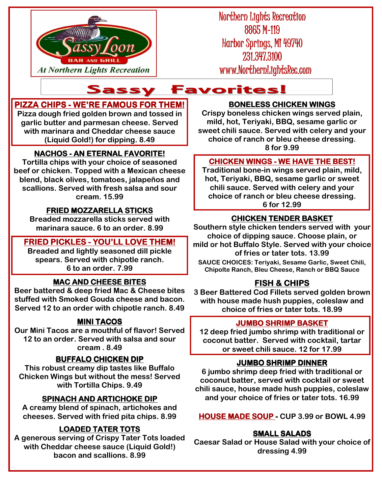

Northern Lights Recreation 8865 M-119 Harbor Springs, MI 49740 231.347.3100 www.NorthernLightsRec.com

# At Northern Lights Recreation WWW.NorthernLights

# **PIZZA CHIPS - WE'RE FAMOUS FOR THEM!**

**Pizza dough fried golden brown and tossed in garlic butter and parmesan cheese. Served with marinara and Cheddar cheese sauce (Liquid Gold!) for dipping. 8.49** 

# **NACHOS - AN ETERNAL FAVORITE!**

**Tortilla chips with your choice of seasoned beef or chicken. Topped with a Mexican cheese blend, black olives, tomatoes, jalapeños and scallions. Served with fresh salsa and sour cream. 15.99** 

# **FRIED MOZZARELLA STICKS**

**Breaded mozzarella sticks served with marinara sauce. 6 to an order. 8.99** 

## **FRIED PICKLES - YOU'LL LOVE THEM!**

**Breaded and lightly seasoned dill pickle spears. Served with chipotle ranch. 6 to an order. 7.99** 

# **MAC AND CHEESE BITES**

**Beer battered & deep fried Mac & Cheese bites stuffed with Smoked Gouda cheese and bacon. Served 12 to an order with chipotle ranch. 8.49** 

# **MINI TACOS**

**Our Mini Tacos are a mouthful of flavor! Served 12 to an order. Served with salsa and sour cream . 8.49** 

#### **BUFFALO CHICKEN DIP**

**This robust creamy dip tastes like Buffalo Chicken Wings but without the mess! Served with Tortilla Chips. 9.49** 

# **SPINACH AND ARTICHOKE DIP**

**A creamy blend of spinach, artichokes and cheeses. Served with fried pita chips. 8.99** 

# **LOADED TATER TOTS**

**A generous serving of Crispy Tater Tots loaded with Cheddar cheese sauce (Liquid Gold!) bacon and scallions. 8.99** 

#### **BONELESS CHICKEN WINGS**

**Crispy boneless chicken wings served plain, mild, hot, Teriyaki, BBQ, sesame garlic or sweet chili sauce. Served with celery and your choice of ranch or bleu cheese dressing. 8 for 9.99** 

#### **CHICKEN WINGS - WE HAVE THE BEST!**

**Traditional bone-in wings served plain, mild, hot, Teriyaki, BBQ, sesame garlic or sweet chili sauce. Served with celery and your choice of ranch or bleu cheese dressing. 6 for 12.99** 

# **CHICKEN TENDER BASKET**

**Southern style chicken tenders served with your choice of dipping sauce. Choose plain, or mild or hot Buffalo Style. Served with your choice of fries or tater tots. 13.99** 

**SAUCE CHOICES: Teriyaki, Sesame Garlic, Sweet Chili, Chipolte Ranch, Bleu Cheese, Ranch or BBQ Sauce** 

# **FISH & CHIPS**

**3 Beer Battered Cod Fillets served golden brown with house made hush puppies, coleslaw and choice of fries or tater tots. 18.99** 

#### **JUMBO SHRIMP BASKET**

**12 deep fried jumbo shrimp with traditional or coconut batter. Served with cocktail, tartar or sweet chili sauce. 12 for 17.99**

### **JUMBO SHRIMP DINNER**

**6 jumbo shrimp deep fried with traditional or coconut batter, served with cocktail or sweet chili sauce, house made hush puppies, coleslaw and your choice of fries or tater tots. 16.99** 

**HOUSE MADE SOUP -CUP 3.99 or BOWL 4.99** 

### **SMALL SALADS**

**Caesar Salad or House Salad with your choice of dressing 4.99**